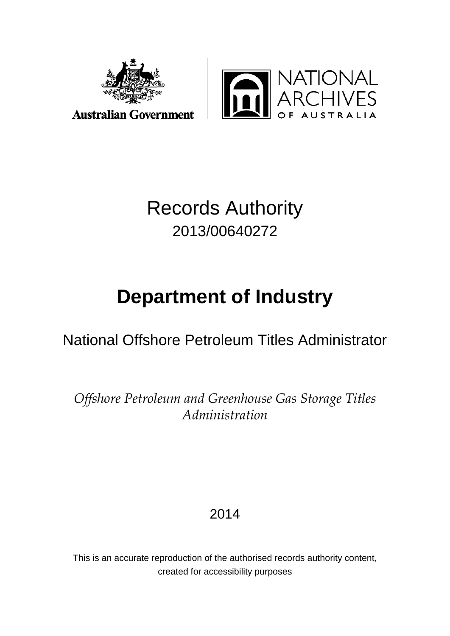



## Records Authority 2013/00640272

# **Department of Industry**

## National Offshore Petroleum Titles Administrator

*Offshore Petroleum and Greenhouse Gas Storage Titles Administration*

2014

This is an accurate reproduction of the authorised records authority content, created for accessibility purposes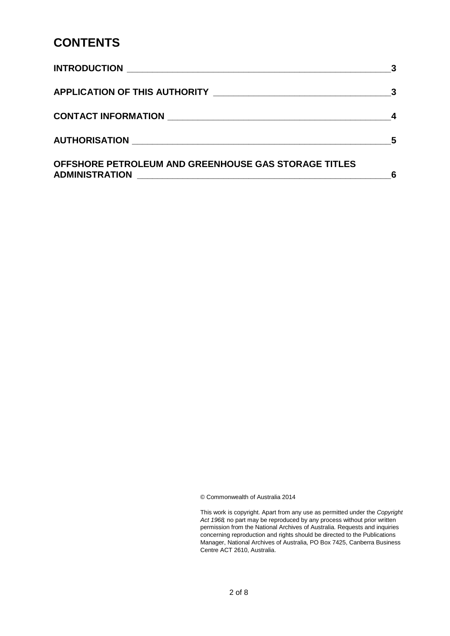#### **CONTENTS**

| <b>INTRODUCTION</b>                                  |   |
|------------------------------------------------------|---|
|                                                      |   |
|                                                      |   |
| AUTHORISATION NATION                                 | 5 |
| OFFSHORE PETROLEUM AND GREENHOUSE GAS STORAGE TITLES | 6 |

© Commonwealth of Australia 2014

This work is copyright. Apart from any use as permitted under the *Copyright Act 1968,* no part may be reproduced by any process without prior written permission from the National Archives of Australia. Requests and inquiries concerning reproduction and rights should be directed to the Publications Manager, National Archives of Australia, PO Box 7425, Canberra Business Centre ACT 2610, Australia.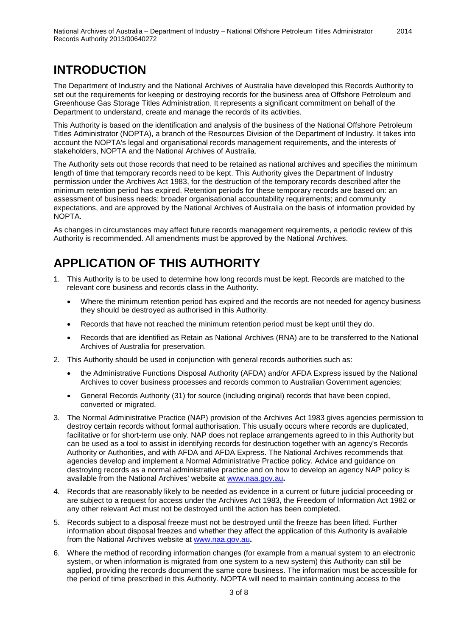## <span id="page-2-0"></span>**INTRODUCTION**

The Department of Industry and the National Archives of Australia have developed this Records Authority to set out the requirements for keeping or destroying records for the business area of Offshore Petroleum and Greenhouse Gas Storage Titles Administration. It represents a significant commitment on behalf of the Department to understand, create and manage the records of its activities.

This Authority is based on the identification and analysis of the business of the National Offshore Petroleum Titles Administrator (NOPTA), a branch of the Resources Division of the Department of Industry. It takes into account the NOPTA's legal and organisational records management requirements, and the interests of stakeholders, NOPTA and the National Archives of Australia.

The Authority sets out those records that need to be retained as national archives and specifies the minimum length of time that temporary records need to be kept. This Authority gives the Department of Industry permission under the Archives Act 1983, for the destruction of the temporary records described after the minimum retention period has expired. Retention periods for these temporary records are based on: an assessment of business needs; broader organisational accountability requirements; and community expectations, and are approved by the National Archives of Australia on the basis of information provided by NOPTA.

As changes in circumstances may affect future records management requirements, a periodic review of this Authority is recommended. All amendments must be approved by the National Archives.

## <span id="page-2-1"></span>**APPLICATION OF THIS AUTHORITY**

- 1. This Authority is to be used to determine how long records must be kept. Records are matched to the relevant core business and records class in the Authority.
	- Where the minimum retention period has expired and the records are not needed for agency business they should be destroyed as authorised in this Authority.
	- Records that have not reached the minimum retention period must be kept until they do.
	- Records that are identified as Retain as National Archives (RNA) are to be transferred to the National Archives of Australia for preservation.
- 2. This Authority should be used in conjunction with general records authorities such as:
	- the Administrative Functions Disposal Authority (AFDA) and/or AFDA Express issued by the National Archives to cover business processes and records common to Australian Government agencies;
	- General Records Authority (31) for source (including original) records that have been copied, converted or migrated.
- 3. The Normal Administrative Practice (NAP) provision of the Archives Act 1983 gives agencies permission to destroy certain records without formal authorisation. This usually occurs where records are duplicated, facilitative or for short-term use only. NAP does not replace arrangements agreed to in this Authority but can be used as a tool to assist in identifying records for destruction together with an agency's Records Authority or Authorities, and with AFDA and AFDA Express. The National Archives recommends that agencies develop and implement a Normal Administrative Practice policy. Advice and guidance on destroying records as a normal administrative practice and on how to develop an agency NAP policy is available from the National Archives' website at [www.naa.gov.au](http://www.naa.gov.au/)**.**
- 4. Records that are reasonably likely to be needed as evidence in a current or future judicial proceeding or are subject to a request for access under the Archives Act 1983, the Freedom of Information Act 1982 or any other relevant Act must not be destroyed until the action has been completed.
- 5. Records subject to a disposal freeze must not be destroyed until the freeze has been lifted. Further information about disposal freezes and whether they affect the application of this Authority is available from the National Archives website at [www.naa.gov.au](http://www.naa.gov.au/)**.**
- 6. Where the method of recording information changes (for example from a manual system to an electronic system, or when information is migrated from one system to a new system) this Authority can still be applied, providing the records document the same core business. The information must be accessible for the period of time prescribed in this Authority. NOPTA will need to maintain continuing access to the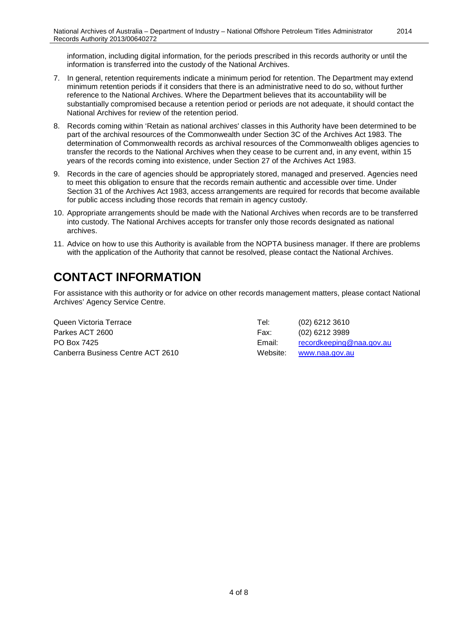information, including digital information, for the periods prescribed in this records authority or until the information is transferred into the custody of the National Archives.

2014

- 7. In general, retention requirements indicate a minimum period for retention. The Department may extend minimum retention periods if it considers that there is an administrative need to do so, without further reference to the National Archives. Where the Department believes that its accountability will be substantially compromised because a retention period or periods are not adequate, it should contact the National Archives for review of the retention period.
- 8. Records coming within 'Retain as national archives' classes in this Authority have been determined to be part of the archival resources of the Commonwealth under Section 3C of the Archives Act 1983. The determination of Commonwealth records as archival resources of the Commonwealth obliges agencies to transfer the records to the National Archives when they cease to be current and, in any event, within 15 years of the records coming into existence, under Section 27 of the Archives Act 1983.
- 9. Records in the care of agencies should be appropriately stored, managed and preserved. Agencies need to meet this obligation to ensure that the records remain authentic and accessible over time. Under Section 31 of the Archives Act 1983, access arrangements are required for records that become available for public access including those records that remain in agency custody.
- 10. Appropriate arrangements should be made with the National Archives when records are to be transferred into custody. The National Archives accepts for transfer only those records designated as national archives.
- 11. Advice on how to use this Authority is available from the NOPTA business manager. If there are problems with the application of the Authority that cannot be resolved, please contact the National Archives.

## <span id="page-3-0"></span>**CONTACT INFORMATION**

For assistance with this authority or for advice on other records management matters, please contact National Archives' Agency Service Centre.

Queen Victoria Terrace Tel: (02) 6212 3610 Parkes ACT 2600 Farkes ACT 2600 Fax: (02) 6212 3989 PO Box 7425 **Email:** [recordkeeping@naa.gov.au](mailto:recordkeeping@naa.gov.au) Canberra Business Centre ACT 2610 Website: [www.naa.gov.au](http://www.naa.gov.au/)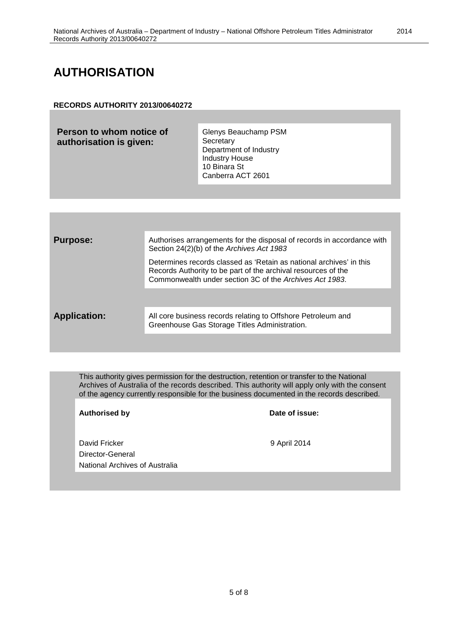#### <span id="page-4-0"></span>**AUTHORISATION**

#### **RECORDS AUTHORITY 2013/00640272**

| Person to whom notice of<br>authorisation is given: | Glenys Beauchamp PSM<br>Secretary<br>Department of Industry<br><b>Industry House</b><br>10 Binara St<br>Canberra ACT 2601 |
|-----------------------------------------------------|---------------------------------------------------------------------------------------------------------------------------|
|                                                     |                                                                                                                           |

| <b>Purpose:</b>     | Authorises arrangements for the disposal of records in accordance with<br>Section 24(2)(b) of the Archives Act 1983                                                                             |
|---------------------|-------------------------------------------------------------------------------------------------------------------------------------------------------------------------------------------------|
|                     | Determines records classed as 'Retain as national archives' in this<br>Records Authority to be part of the archival resources of the<br>Commonwealth under section 3C of the Archives Act 1983. |
|                     |                                                                                                                                                                                                 |
| <b>Application:</b> | All core business records relating to Offshore Petroleum and<br>Greenhouse Gas Storage Titles Administration.                                                                                   |
|                     |                                                                                                                                                                                                 |

This authority gives permission for the destruction, retention or transfer to the National Archives of Australia of the records described. This authority will apply only with the consent of the agency currently responsible for the business documented in the records described.

Authorised by **Date of issue:** 

David Fricker 9 April 2014 Director-General National Archives of Australia

2014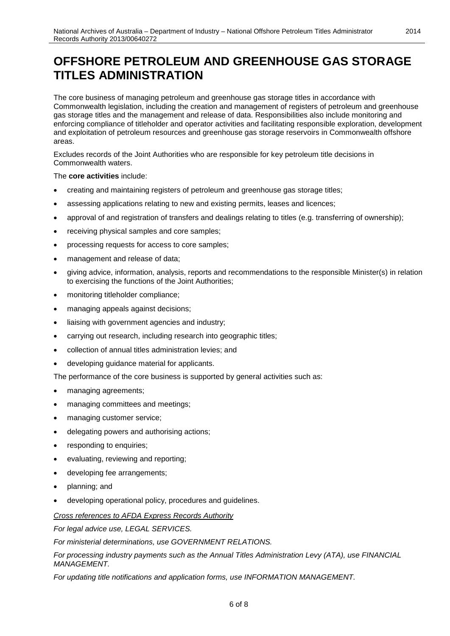#### <span id="page-5-0"></span>**OFFSHORE PETROLEUM AND GREENHOUSE GAS STORAGE TITLES ADMINISTRATION**

The core business of managing petroleum and greenhouse gas storage titles in accordance with Commonwealth legislation, including the creation and management of registers of petroleum and greenhouse gas storage titles and the management and release of data. Responsibilities also include monitoring and enforcing compliance of titleholder and operator activities and facilitating responsible exploration, development and exploitation of petroleum resources and greenhouse gas storage reservoirs in Commonwealth offshore areas.

Excludes records of the Joint Authorities who are responsible for key petroleum title decisions in Commonwealth waters.

#### The **core activities** include:

- creating and maintaining registers of petroleum and greenhouse gas storage titles;
- assessing applications relating to new and existing permits, leases and licences;
- approval of and registration of transfers and dealings relating to titles (e.g. transferring of ownership);
- receiving physical samples and core samples;
- processing requests for access to core samples;
- management and release of data;
- giving advice, information, analysis, reports and recommendations to the responsible Minister(s) in relation to exercising the functions of the Joint Authorities;
- monitoring titleholder compliance;
- managing appeals against decisions;
- liaising with government agencies and industry;
- carrying out research, including research into geographic titles;
- collection of annual titles administration levies; and
- developing guidance material for applicants.

The performance of the core business is supported by general activities such as:

- managing agreements;
- managing committees and meetings;
- managing customer service;
- delegating powers and authorising actions;
- responding to enquiries;
- evaluating, reviewing and reporting;
- developing fee arrangements;
- planning; and
- developing operational policy, procedures and guidelines.

#### *Cross references to AFDA Express Records Authority*

*For legal advice use, LEGAL SERVICES.*

*For ministerial determinations, use GOVERNMENT RELATIONS.*

*For processing industry payments such as the Annual Titles Administration Levy (ATA), use FINANCIAL MANAGEMENT.*

*For updating title notifications and application forms, use INFORMATION MANAGEMENT.*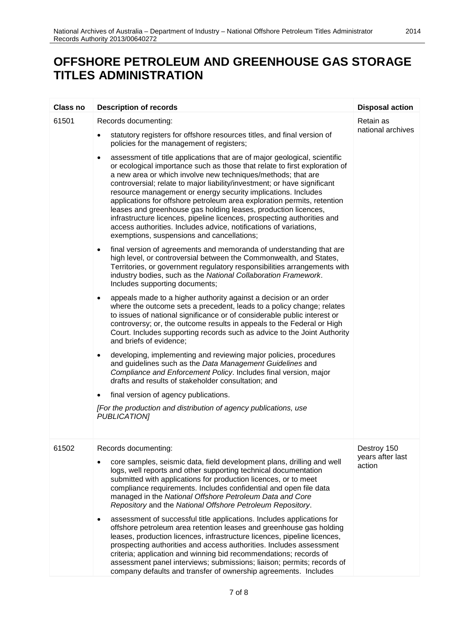## **OFFSHORE PETROLEUM AND GREENHOUSE GAS STORAGE TITLES ADMINISTRATION**

| Class no | <b>Description of records</b>                                                                                                                                                                                                                                                                                                                                                                                                                                                                                                                                                                                                                                                                                                | <b>Disposal action</b>          |
|----------|------------------------------------------------------------------------------------------------------------------------------------------------------------------------------------------------------------------------------------------------------------------------------------------------------------------------------------------------------------------------------------------------------------------------------------------------------------------------------------------------------------------------------------------------------------------------------------------------------------------------------------------------------------------------------------------------------------------------------|---------------------------------|
| 61501    | Records documenting:<br>statutory registers for offshore resources titles, and final version of<br>$\bullet$                                                                                                                                                                                                                                                                                                                                                                                                                                                                                                                                                                                                                 | Retain as<br>national archives  |
|          | policies for the management of registers;                                                                                                                                                                                                                                                                                                                                                                                                                                                                                                                                                                                                                                                                                    |                                 |
|          | assessment of title applications that are of major geological, scientific<br>$\bullet$<br>or ecological importance such as those that relate to first exploration of<br>a new area or which involve new techniques/methods; that are<br>controversial; relate to major liability/investment; or have significant<br>resource management or energy security implications. Includes<br>applications for offshore petroleum area exploration permits, retention<br>leases and greenhouse gas holding leases, production licences,<br>infrastructure licences, pipeline licences, prospecting authorities and<br>access authorities. Includes advice, notifications of variations,<br>exemptions, suspensions and cancellations; |                                 |
|          | final version of agreements and memoranda of understanding that are<br>$\bullet$<br>high level, or controversial between the Commonwealth, and States,<br>Territories, or government regulatory responsibilities arrangements with<br>industry bodies, such as the National Collaboration Framework.<br>Includes supporting documents;                                                                                                                                                                                                                                                                                                                                                                                       |                                 |
|          | appeals made to a higher authority against a decision or an order<br>٠<br>where the outcome sets a precedent, leads to a policy change; relates<br>to issues of national significance or of considerable public interest or<br>controversy; or, the outcome results in appeals to the Federal or High<br>Court. Includes supporting records such as advice to the Joint Authority<br>and briefs of evidence;                                                                                                                                                                                                                                                                                                                 |                                 |
|          | developing, implementing and reviewing major policies, procedures<br>٠<br>and guidelines such as the Data Management Guidelines and<br>Compliance and Enforcement Policy. Includes final version, major<br>drafts and results of stakeholder consultation; and                                                                                                                                                                                                                                                                                                                                                                                                                                                               |                                 |
|          | final version of agency publications.                                                                                                                                                                                                                                                                                                                                                                                                                                                                                                                                                                                                                                                                                        |                                 |
|          | [For the production and distribution of agency publications, use<br><b>PUBLICATION1</b>                                                                                                                                                                                                                                                                                                                                                                                                                                                                                                                                                                                                                                      |                                 |
| 61502    | Records documenting:                                                                                                                                                                                                                                                                                                                                                                                                                                                                                                                                                                                                                                                                                                         | Destroy 150<br>years after last |
|          | core samples, seismic data, field development plans, drilling and well<br>logs, well reports and other supporting technical documentation<br>submitted with applications for production licences, or to meet<br>compliance requirements. Includes confidential and open file data<br>managed in the National Offshore Petroleum Data and Core<br>Repository and the National Offshore Petroleum Repository.                                                                                                                                                                                                                                                                                                                  | action                          |
|          | assessment of successful title applications. Includes applications for<br>$\bullet$<br>offshore petroleum area retention leases and greenhouse gas holding<br>leases, production licences, infrastructure licences, pipeline licences,<br>prospecting authorities and access authorities. Includes assessment<br>criteria; application and winning bid recommendations; records of<br>assessment panel interviews; submissions; liaison; permits; records of<br>company defaults and transfer of ownership agreements. Includes                                                                                                                                                                                              |                                 |